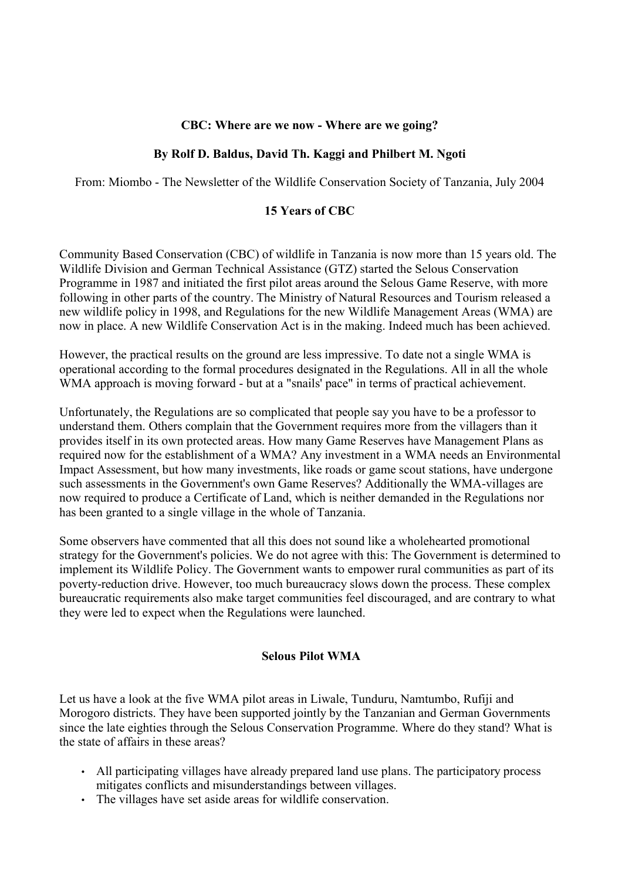#### **CBC: Where are we now - Where are we going?**

### **By Rolf D. Baldus, David Th. Kaggi and Philbert M. Ngoti**

From: Miombo - The Newsletter of the Wildlife Conservation Society of Tanzania, July 2004

#### **15 Years of CBC**

Community Based Conservation (CBC) of wildlife in Tanzania is now more than 15 years old. The Wildlife Division and German Technical Assistance (GTZ) started the Selous Conservation Programme in 1987 and initiated the first pilot areas around the Selous Game Reserve, with more following in other parts of the country. The Ministry of Natural Resources and Tourism released a new wildlife policy in 1998, and Regulations for the new Wildlife Management Areas (WMA) are now in place. A new Wildlife Conservation Act is in the making. Indeed much has been achieved.

However, the practical results on the ground are less impressive. To date not a single WMA is operational according to the formal procedures designated in the Regulations. All in all the whole WMA approach is moving forward - but at a "snails' pace" in terms of practical achievement.

Unfortunately, the Regulations are so complicated that people say you have to be a professor to understand them. Others complain that the Government requires more from the villagers than it provides itself in its own protected areas. How many Game Reserves have Management Plans as required now for the establishment of a WMA? Any investment in a WMA needs an Environmental Impact Assessment, but how many investments, like roads or game scout stations, have undergone such assessments in the Government's own Game Reserves? Additionally the WMA-villages are now required to produce a Certificate of Land, which is neither demanded in the Regulations nor has been granted to a single village in the whole of Tanzania.

Some observers have commented that all this does not sound like a wholehearted promotional strategy for the Government's policies. We do not agree with this: The Government is determined to implement its Wildlife Policy. The Government wants to empower rural communities as part of its poverty-reduction drive. However, too much bureaucracy slows down the process. These complex bureaucratic requirements also make target communities feel discouraged, and are contrary to what they were led to expect when the Regulations were launched.

#### **Selous Pilot WMA**

Let us have a look at the five WMA pilot areas in Liwale, Tunduru, Namtumbo, Rufiji and Morogoro districts. They have been supported jointly by the Tanzanian and German Governments since the late eighties through the Selous Conservation Programme. Where do they stand? What is the state of affairs in these areas?

- All participating villages have already prepared land use plans. The participatory process mitigates conflicts and misunderstandings between villages.
- The villages have set aside areas for wildlife conservation.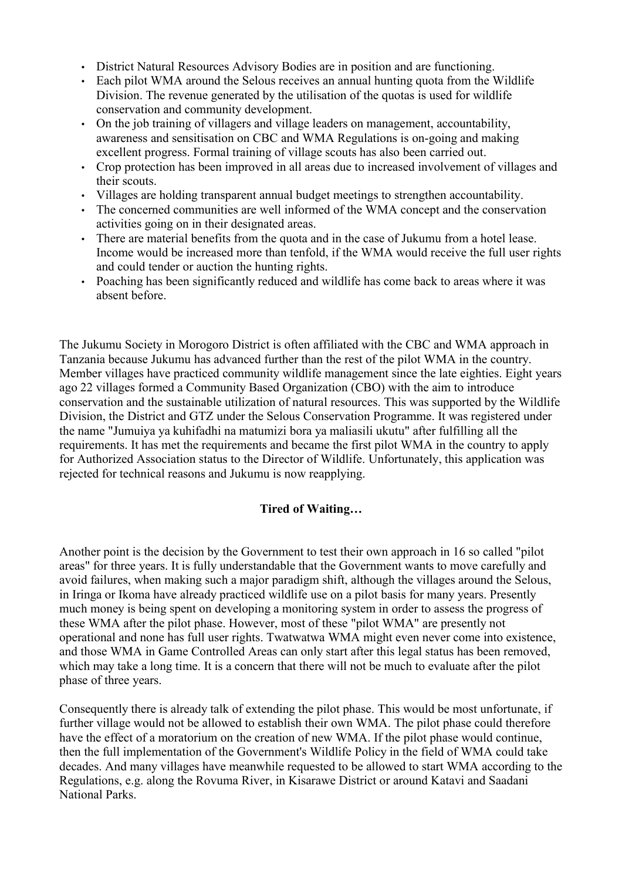- District Natural Resources Advisory Bodies are in position and are functioning.
- Each pilot WMA around the Selous receives an annual hunting quota from the Wildlife Division. The revenue generated by the utilisation of the quotas is used for wildlife conservation and community development.
- On the job training of villagers and village leaders on management, accountability, awareness and sensitisation on CBC and WMA Regulations is on-going and making excellent progress. Formal training of village scouts has also been carried out.
- Crop protection has been improved in all areas due to increased involvement of villages and their scouts.
- Villages are holding transparent annual budget meetings to strengthen accountability.
- The concerned communities are well informed of the WMA concept and the conservation activities going on in their designated areas.
- There are material benefits from the quota and in the case of Jukumu from a hotel lease. Income would be increased more than tenfold, if the WMA would receive the full user rights and could tender or auction the hunting rights.
- Poaching has been significantly reduced and wildlife has come back to areas where it was absent before.

The Jukumu Society in Morogoro District is often affiliated with the CBC and WMA approach in Tanzania because Jukumu has advanced further than the rest of the pilot WMA in the country. Member villages have practiced community wildlife management since the late eighties. Eight years ago 22 villages formed a Community Based Organization (CBO) with the aim to introduce conservation and the sustainable utilization of natural resources. This was supported by the Wildlife Division, the District and GTZ under the Selous Conservation Programme. It was registered under the name "Jumuiya ya kuhifadhi na matumizi bora ya maliasili ukutu" after fulfilling all the requirements. It has met the requirements and became the first pilot WMA in the country to apply for Authorized Association status to the Director of Wildlife. Unfortunately, this application was rejected for technical reasons and Jukumu is now reapplying.

## **Tired of Waiting…**

Another point is the decision by the Government to test their own approach in 16 so called "pilot areas" for three years. It is fully understandable that the Government wants to move carefully and avoid failures, when making such a major paradigm shift, although the villages around the Selous, in Iringa or Ikoma have already practiced wildlife use on a pilot basis for many years. Presently much money is being spent on developing a monitoring system in order to assess the progress of these WMA after the pilot phase. However, most of these "pilot WMA" are presently not operational and none has full user rights. Twatwatwa WMA might even never come into existence, and those WMA in Game Controlled Areas can only start after this legal status has been removed, which may take a long time. It is a concern that there will not be much to evaluate after the pilot phase of three years.

Consequently there is already talk of extending the pilot phase. This would be most unfortunate, if further village would not be allowed to establish their own WMA. The pilot phase could therefore have the effect of a moratorium on the creation of new WMA. If the pilot phase would continue, then the full implementation of the Government's Wildlife Policy in the field of WMA could take decades. And many villages have meanwhile requested to be allowed to start WMA according to the Regulations, e.g. along the Rovuma River, in Kisarawe District or around Katavi and Saadani National Parks.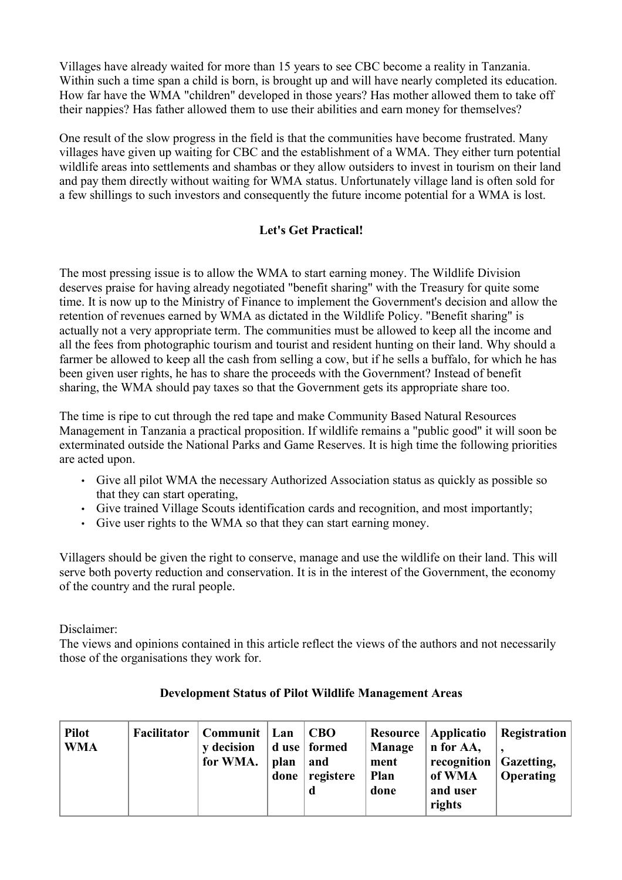Villages have already waited for more than 15 years to see CBC become a reality in Tanzania. Within such a time span a child is born, is brought up and will have nearly completed its education. How far have the WMA "children" developed in those years? Has mother allowed them to take off their nappies? Has father allowed them to use their abilities and earn money for themselves?

One result of the slow progress in the field is that the communities have become frustrated. Many villages have given up waiting for CBC and the establishment of a WMA. They either turn potential wildlife areas into settlements and shambas or they allow outsiders to invest in tourism on their land and pay them directly without waiting for WMA status. Unfortunately village land is often sold for a few shillings to such investors and consequently the future income potential for a WMA is lost.

# **Let's Get Practical!**

The most pressing issue is to allow the WMA to start earning money. The Wildlife Division deserves praise for having already negotiated "benefit sharing" with the Treasury for quite some time. It is now up to the Ministry of Finance to implement the Government's decision and allow the retention of revenues earned by WMA as dictated in the Wildlife Policy. "Benefit sharing" is actually not a very appropriate term. The communities must be allowed to keep all the income and all the fees from photographic tourism and tourist and resident hunting on their land. Why should a farmer be allowed to keep all the cash from selling a cow, but if he sells a buffalo, for which he has been given user rights, he has to share the proceeds with the Government? Instead of benefit sharing, the WMA should pay taxes so that the Government gets its appropriate share too.

The time is ripe to cut through the red tape and make Community Based Natural Resources Management in Tanzania a practical proposition. If wildlife remains a "public good" it will soon be exterminated outside the National Parks and Game Reserves. It is high time the following priorities are acted upon.

- Give all pilot WMA the necessary Authorized Association status as quickly as possible so that they can start operating,
- Give trained Village Scouts identification cards and recognition, and most importantly;
- Give user rights to the WMA so that they can start earning money.

Villagers should be given the right to conserve, manage and use the wildlife on their land. This will serve both poverty reduction and conservation. It is in the interest of the Government, the economy of the country and the rural people.

Disclaimer:

The views and opinions contained in this article reflect the views of the authors and not necessarily those of the organisations they work for.

| <b>Pilot</b><br><b>WMA</b> | Facilitator | Communit   Lan<br><b>v</b> decision<br>for WMA. | plan<br>done | <b>CBO</b><br>d use   formed<br>and<br>registere | Manage<br>ment<br><b>Plan</b><br>done | Resource   Applicatio<br>n for AA,<br>recognition Gazetting,<br>of WMA<br>and user<br>rights | Registration<br><b>Operating</b> |
|----------------------------|-------------|-------------------------------------------------|--------------|--------------------------------------------------|---------------------------------------|----------------------------------------------------------------------------------------------|----------------------------------|
|----------------------------|-------------|-------------------------------------------------|--------------|--------------------------------------------------|---------------------------------------|----------------------------------------------------------------------------------------------|----------------------------------|

## **Development Status of Pilot Wildlife Management Areas**